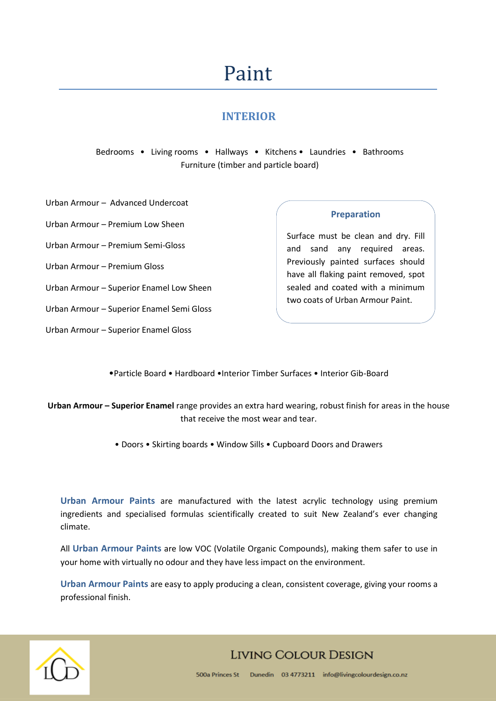# Paint

## **INTERIOR**

Bedrooms • Living rooms • Hallways • Kitchens • Laundries • Bathrooms Furniture (timber and particle board)

Urban Armour – Advanced Undercoat

Urban Armour – Premium Low Sheen

Urban Armour – Premium Semi-Gloss

Urban Armour – Premium Gloss

Urban Armour – Superior Enamel Low Sheen

Urban Armour – Superior Enamel Semi Gloss

Urban Armour – Superior Enamel Gloss

**Preparation**

Surface must be clean and dry. Fill and sand any required areas. Previously painted surfaces should have all flaking paint removed, spot sealed and coated with a minimum two coats of Urban Armour Paint.

•Particle Board • Hardboard •Interior Timber Surfaces • Interior Gib-Board

**Urban Armour – Superior Enamel** range provides an extra hard wearing, robust finish for areas in the house that receive the most wear and tear.

• Doors • Skirting boards • Window Sills • Cupboard Doors and Drawers

**Urban Armour Paints** are manufactured with the latest acrylic technology using premium ingredients and specialised formulas scientifically created to suit New Zealand's ever changing climate.

All **Urban Armour Paints** are low VOC (Volatile Organic Compounds), making them safer to use in your home with virtually no odour and they have less impact on the environment.

**Urban Armour Paints** are easy to apply producing a clean, consistent coverage, giving your rooms a professional finish.



## **LIVING COLOUR DESIGN**